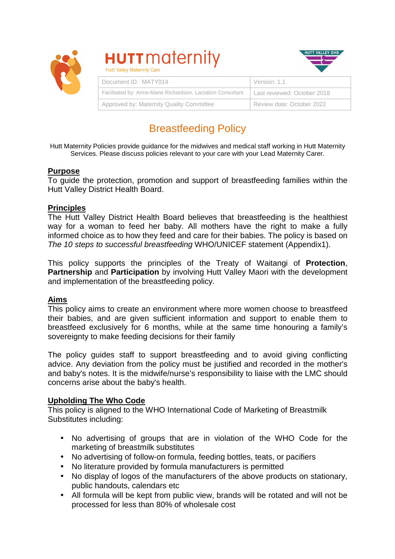

# **HUTT** maternity **Hutt Valley Maternity Care**



| Document ID: MATY014                                        | Version: 1.1                |
|-------------------------------------------------------------|-----------------------------|
| Facilitated by: Anne-Marie Richardson, Lactation Consultant | Last reviewed: October 2018 |
| Approved by: Maternity Quality Committee                    | Review date: October 2022   |

# Breastfeeding Policy

Hutt Maternity Policies provide guidance for the midwives and medical staff working in Hutt Maternity Services. Please discuss policies relevant to your care with your Lead Maternity Carer.

# **Purpose**

To guide the protection, promotion and support of breastfeeding families within the Hutt Valley District Health Board.

# **Principles**

The Hutt Valley District Health Board believes that breastfeeding is the healthiest way for a woman to feed her baby. All mothers have the right to make a fully informed choice as to how they feed and care for their babies. The policy is based on The 10 steps to successful breastfeeding WHO/UNICEF statement (Appendix1).

This policy supports the principles of the Treaty of Waitangi of **Protection**, **Partnership** and **Participation** by involving Hutt Valley Maori with the development and implementation of the breastfeeding policy.

# **Aims**

This policy aims to create an environment where more women choose to breastfeed their babies, and are given sufficient information and support to enable them to breastfeed exclusively for 6 months, while at the same time honouring a family's sovereignty to make feeding decisions for their family

The policy guides staff to support breastfeeding and to avoid giving conflicting advice. Any deviation from the policy must be justified and recorded in the mother's and baby's notes. It is the midwife/nurse's responsibility to liaise with the LMC should concerns arise about the baby's health.

## **Upholding The Who Code**

This policy is aligned to the WHO International Code of Marketing of Breastmilk Substitutes including:

- No advertising of groups that are in violation of the WHO Code for the marketing of breastmilk substitutes
- No advertising of follow-on formula, feeding bottles, teats, or pacifiers
- No literature provided by formula manufacturers is permitted
- No display of logos of the manufacturers of the above products on stationary, public handouts, calendars etc
- All formula will be kept from public view, brands will be rotated and will not be processed for less than 80% of wholesale cost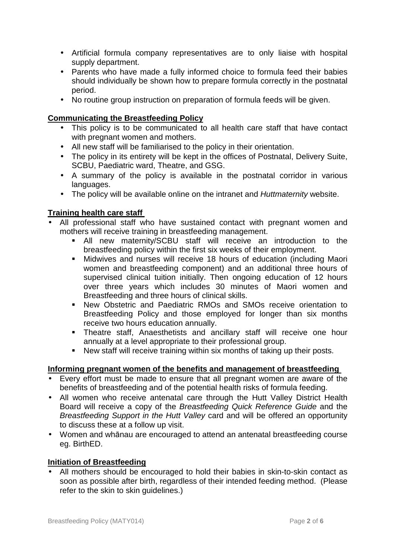- Artificial formula company representatives are to only liaise with hospital supply department.
- Parents who have made a fully informed choice to formula feed their babies should individually be shown how to prepare formula correctly in the postnatal period.
- No routine group instruction on preparation of formula feeds will be given.

# **Communicating the Breastfeeding Policy**

- This policy is to be communicated to all health care staff that have contact with pregnant women and mothers.
- All new staff will be familiarised to the policy in their orientation.
- The policy in its entirety will be kept in the offices of Postnatal, Delivery Suite, SCBU, Paediatric ward, Theatre, and GSG.
- A summary of the policy is available in the postnatal corridor in various languages.
- The policy will be available online on the intranet and Huttmaternity website.

# **Training health care staff**

- All professional staff who have sustained contact with pregnant women and mothers will receive training in breastfeeding management.
	- All new maternity/SCBU staff will receive an introduction to the breastfeeding policy within the first six weeks of their employment.
	- Midwives and nurses will receive 18 hours of education (including Maori women and breastfeeding component) and an additional three hours of supervised clinical tuition initially. Then ongoing education of 12 hours over three years which includes 30 minutes of Maori women and Breastfeeding and three hours of clinical skills.
	- New Obstetric and Paediatric RMOs and SMOs receive orientation to Breastfeeding Policy and those employed for longer than six months receive two hours education annually.
	- Theatre staff, Anaesthetists and ancillary staff will receive one hour annually at a level appropriate to their professional group.
	- New staff will receive training within six months of taking up their posts.

# **Informing pregnant women of the benefits and management of breastfeeding**

- Every effort must be made to ensure that all pregnant women are aware of the benefits of breastfeeding and of the potential health risks of formula feeding.
- All women who receive antenatal care through the Hutt Valley District Health Board will receive a copy of the Breastfeeding Quick Reference Guide and the Breastfeeding Support in the Hutt Valley card and will be offered an opportunity to discuss these at a follow up visit.
- Women and whānau are encouraged to attend an antenatal breastfeeding course eg. BirthED.

# **Initiation of Breastfeeding**

• All mothers should be encouraged to hold their babies in skin-to-skin contact as soon as possible after birth, regardless of their intended feeding method. (Please refer to the skin to skin guidelines.)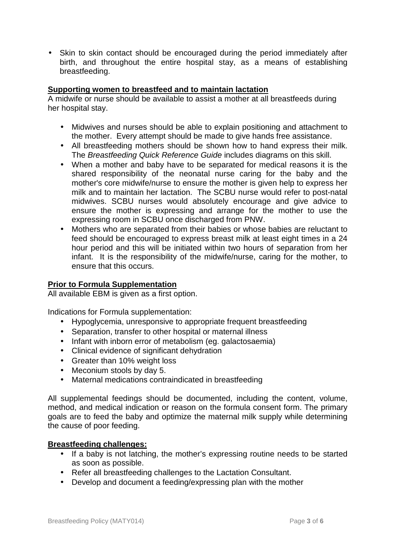• Skin to skin contact should be encouraged during the period immediately after birth, and throughout the entire hospital stay, as a means of establishing breastfeeding.

## **Supporting women to breastfeed and to maintain lactation**

A midwife or nurse should be available to assist a mother at all breastfeeds during her hospital stay.

- Midwives and nurses should be able to explain positioning and attachment to the mother. Every attempt should be made to give hands free assistance.
- All breastfeeding mothers should be shown how to hand express their milk. The Breastfeeding Quick Reference Guide includes diagrams on this skill.
- When a mother and baby have to be separated for medical reasons it is the shared responsibility of the neonatal nurse caring for the baby and the mother's core midwife/nurse to ensure the mother is given help to express her milk and to maintain her lactation. The SCBU nurse would refer to post-natal midwives. SCBU nurses would absolutely encourage and give advice to ensure the mother is expressing and arrange for the mother to use the expressing room in SCBU once discharged from PNW.
- Mothers who are separated from their babies or whose babies are reluctant to feed should be encouraged to express breast milk at least eight times in a 24 hour period and this will be initiated within two hours of separation from her infant. It is the responsibility of the midwife/nurse, caring for the mother, to ensure that this occurs.

## **Prior to Formula Supplementation**

All available EBM is given as a first option.

Indications for Formula supplementation:

- Hypoglycemia, unresponsive to appropriate frequent breastfeeding
- Separation, transfer to other hospital or maternal illness
- Infant with inborn error of metabolism (eg. galactosaemia)
- Clinical evidence of significant dehydration
- Greater than 10% weight loss
- Meconium stools by day 5.
- Maternal medications contraindicated in breastfeeding

All supplemental feedings should be documented, including the content, volume, method, and medical indication or reason on the formula consent form. The primary goals are to feed the baby and optimize the maternal milk supply while determining the cause of poor feeding.

#### **Breastfeeding challenges:**

- If a baby is not latching, the mother's expressing routine needs to be started as soon as possible.
- Refer all breastfeeding challenges to the Lactation Consultant.
- Develop and document a feeding/expressing plan with the mother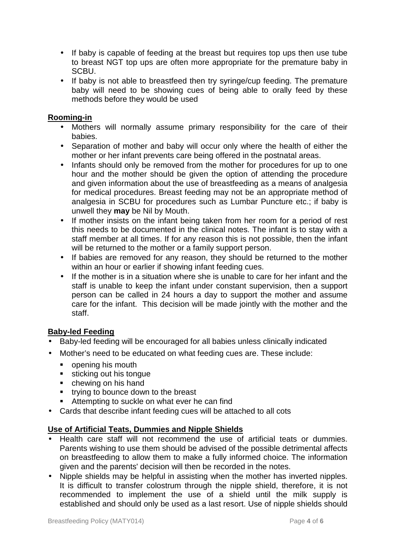- If baby is capable of feeding at the breast but requires top ups then use tube to breast NGT top ups are often more appropriate for the premature baby in SCBU.
- If baby is not able to breastfeed then try syringe/cup feeding. The premature baby will need to be showing cues of being able to orally feed by these methods before they would be used

## **Rooming-in**

- Mothers will normally assume primary responsibility for the care of their babies.
- Separation of mother and baby will occur only where the health of either the mother or her infant prevents care being offered in the postnatal areas.
- Infants should only be removed from the mother for procedures for up to one hour and the mother should be given the option of attending the procedure and given information about the use of breastfeeding as a means of analgesia for medical procedures. Breast feeding may not be an appropriate method of analgesia in SCBU for procedures such as Lumbar Puncture etc.; if baby is unwell they **may** be Nil by Mouth.
- If mother insists on the infant being taken from her room for a period of rest this needs to be documented in the clinical notes. The infant is to stay with a staff member at all times. If for any reason this is not possible, then the infant will be returned to the mother or a family support person.
- If babies are removed for any reason, they should be returned to the mother within an hour or earlier if showing infant feeding cues.
- If the mother is in a situation where she is unable to care for her infant and the staff is unable to keep the infant under constant supervision, then a support person can be called in 24 hours a day to support the mother and assume care for the infant. This decision will be made jointly with the mother and the staff.

## **Baby-led Feeding**

- Baby-led feeding will be encouraged for all babies unless clinically indicated
- Mother's need to be educated on what feeding cues are. These include:
	- **p** opening his mouth
	- sticking out his tongue
	- chewing on his hand
	- **trying to bounce down to the breast**
	- **Attempting to suckle on what ever he can find**
- Cards that describe infant feeding cues will be attached to all cots

## **Use of Artificial Teats, Dummies and Nipple Shields**

- Health care staff will not recommend the use of artificial teats or dummies. Parents wishing to use them should be advised of the possible detrimental affects on breastfeeding to allow them to make a fully informed choice. The information given and the parents' decision will then be recorded in the notes.
- Nipple shields may be helpful in assisting when the mother has inverted nipples. It is difficult to transfer colostrum through the nipple shield, therefore, it is not recommended to implement the use of a shield until the milk supply is established and should only be used as a last resort. Use of nipple shields should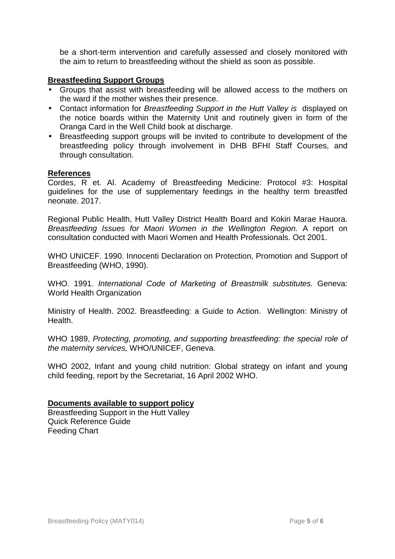be a short-term intervention and carefully assessed and closely monitored with the aim to return to breastfeeding without the shield as soon as possible.

## **Breastfeeding Support Groups**

- Groups that assist with breastfeeding will be allowed access to the mothers on the ward if the mother wishes their presence.
- Contact information for Breastfeeding Support in the Hutt Valley is displayed on the notice boards within the Maternity Unit and routinely given in form of the Oranga Card in the Well Child book at discharge.
- Breastfeeding support groups will be invited to contribute to development of the breastfeeding policy through involvement in DHB BFHI Staff Courses, and through consultation.

## **References**

Cordes, R et. Al. Academy of Breastfeeding Medicine: Protocol #3: Hospital guidelines for the use of supplementary feedings in the healthy term breastfed neonate. 2017.

Regional Public Health, Hutt Valley District Health Board and Kokiri Marae Hauora. Breastfeeding Issues for Maori Women in the Wellington Region. A report on consultation conducted with Maori Women and Health Professionals. Oct 2001.

WHO UNICEF. 1990. Innocenti Declaration on Protection, Promotion and Support of Breastfeeding (WHO, 1990).

WHO. 1991. International Code of Marketing of Breastmilk substitutes. Geneva: World Health Organization

Ministry of Health. 2002. Breastfeeding: a Guide to Action. Wellington: Ministry of Health.

WHO 1989, Protecting, promoting, and supporting breastfeeding: the special role of the maternity services, WHO/UNICEF, Geneva.

WHO 2002, Infant and young child nutrition: Global strategy on infant and young child feeding, report by the Secretariat, 16 April 2002 WHO.

## **Documents available to support policy**

Breastfeeding Support in the Hutt Valley Quick Reference Guide Feeding Chart